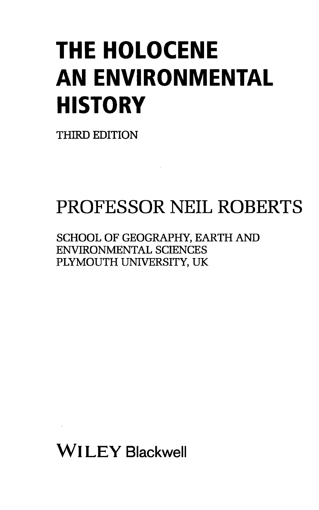## THE HOLOCENE AN ENVIRONMENTAL **HISTORY**

THIRD EDITION

## PROFESSOR NEIL ROBERTS

SCHOOL OF GEOGRAPHY, EARTH AND ENVIRONMENTAL SCIENCES PLYMOUTH UNIVERSITY, UK

Wl LEY Blackwell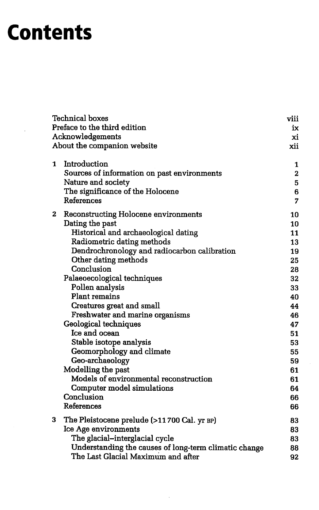## **Contents**

| <b>Technical boxes</b> |                                                                                 | viii        |
|------------------------|---------------------------------------------------------------------------------|-------------|
|                        | Preface to the third edition<br>Acknowledgements<br>About the companion website |             |
|                        |                                                                                 |             |
|                        |                                                                                 |             |
| 1                      | Introduction                                                                    | 1           |
|                        | Sources of information on past environments                                     | $\mathbf 2$ |
|                        | Nature and society                                                              | 5           |
|                        | The significance of the Holocene                                                | 6           |
|                        | References                                                                      | 7           |
| 2                      | <b>Reconstructing Holocene environments</b>                                     | 10          |
|                        | Dating the past                                                                 | 10          |
|                        | Historical and archaeological dating                                            | 11          |
|                        | Radiometric dating methods                                                      | 13          |
|                        | Dendrochronology and radiocarbon calibration                                    | 19          |
|                        | Other dating methods                                                            | 25          |
|                        | Conclusion                                                                      | 28          |
|                        | Palaeoecological techniques                                                     | 32          |
|                        | Pollen analysis                                                                 | 33          |
|                        | <b>Plant remains</b>                                                            | 40          |
|                        | Creatures great and small                                                       | 44          |
|                        | Freshwater and marine organisms                                                 | 46          |
|                        | Geological techniques                                                           | 47          |
|                        | Ice and ocean                                                                   | 51          |
|                        | Stable isotope analysis                                                         | 53          |
|                        | Geomorphology and climate                                                       | 55          |
|                        | Geo-archaeology                                                                 | 59          |
|                        | Modelling the past                                                              | 61          |
|                        | Models of environmental reconstruction                                          | 61          |
|                        | Computer model simulations                                                      | 64          |
|                        | Conclusion                                                                      | 66          |
|                        | <b>References</b>                                                               | 66          |
| 3                      | The Pleistocene prelude (>11700 Cal. yr BP)                                     | 83          |
|                        | Ice Age environments                                                            | 83          |
|                        | The glacial-interglacial cycle                                                  | 83          |
|                        | Understanding the causes of long-term climatic change                           | 88          |
|                        | The Last Glacial Maximum and after                                              | 92          |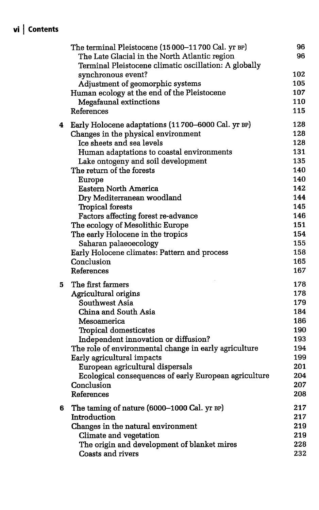## vi <sup>|</sup> Contents

|   | The terminal Pleistocene (15 000-11 700 Cal. yr BP)   | 96  |
|---|-------------------------------------------------------|-----|
|   | The Late Glacial in the North Atlantic region         | 96  |
|   | Terminal Pleistocene climatic oscillation: A globally |     |
|   | synchronous event?                                    | 102 |
|   | Adjustment of geomorphic systems                      | 105 |
|   | Human ecology at the end of the Pleistocene           | 107 |
|   | Megafaunal extinctions                                | 110 |
|   | References                                            | 115 |
| 4 | Early Holocene adaptations (11700–6000 Cal. yr BP)    | 128 |
|   | Changes in the physical environment                   | 128 |
|   | Ice sheets and sea levels                             | 128 |
|   | Human adaptations to coastal environments             | 131 |
|   | Lake ontogeny and soil development                    | 135 |
|   | The return of the forests                             | 140 |
|   | Europe                                                | 140 |
|   | <b>Eastern North America</b>                          | 142 |
|   | Dry Mediterranean woodland                            | 144 |
|   | <b>Tropical forests</b>                               | 145 |
|   | Factors affecting forest re-advance                   | 146 |
|   | The ecology of Mesolithic Europe                      | 151 |
|   | The early Holocene in the tropics                     | 154 |
|   | Saharan palaeoecology                                 | 155 |
|   | Early Holocene climates: Pattern and process          | 158 |
|   | Conclusion                                            | 165 |
|   | References                                            | 167 |
| 5 | The first farmers                                     | 178 |
|   | Agricultural origins                                  | 178 |
|   | Southwest Asia                                        | 179 |
|   | China and South Asia                                  | 184 |
|   | Mesoamerica                                           | 186 |
|   | Tropical domesticates                                 | 190 |
|   | Independent innovation or diffusion?                  | 193 |
|   | The role of environmental change in early agriculture | 194 |
|   | Early agricultural impacts                            | 199 |
|   | European agricultural dispersals                      | 201 |
|   | Ecological consequences of early European agriculture | 204 |
|   | Conclusion                                            | 207 |
|   | <b>References</b>                                     | 208 |
| 6 | The taming of nature (6000-1000 Cal. yr BP)           | 217 |
|   | Introduction                                          | 217 |
|   | Changes in the natural environment                    | 219 |
|   | Climate and vegetation                                | 219 |
|   | The origin and development of blanket mires           | 228 |
|   | <b>Coasts and rivers</b>                              | 232 |
|   |                                                       |     |